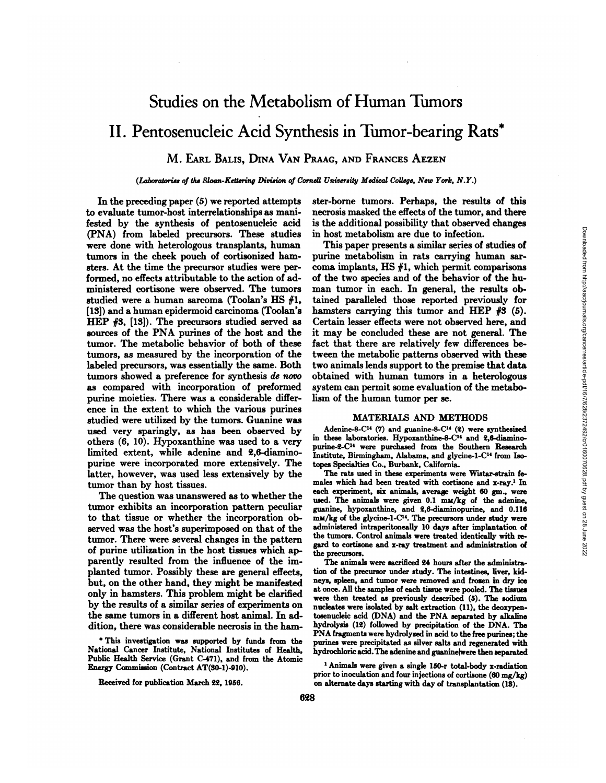## Studies on the Metabolism of Human Tumors

# II. Pentosenucleic Acid Synthesis in Tumor-bearing Rats\*

## M. EARL BALIS, DINA VAN PRAAG, AND FRANCES AEZEN

## *(lAboratories of the Stoan-Keusring Division ofCornell University Medical College, New York, N.Y.)*

In the preceding paper (5) we reported attempts **to evaluate tumor-host interrelationships as mani** fested by the synthesis of pentosenucleic acid (PNA) from labeled precursors. These studies were done with heterologous transplants, human tumors in the cheek pouch of cortisonized ham sters. At the time the precursor studies were per formed, no effects attributable to the action of ad ministered cortisone were observed. The tumors studied were a human sarcoma (Toolan's HS #1, **[18]) and a human epidermoid carcinoma (Toolan's** HEP #3, [13]). The precursors studied served as sources of the PNA purines of the host and the tumor. The metabolic behavior of both of these tumors, as measured by the incorporation of the labeled precursors, was essentially the same. Both tumors showed a preference for synthesis de novo as compared with incorporation of preformed purine moieties. There was a considerable differ ence in the extent to which the various purines studied were utilized by the tumors. Guanine was used very sparingly, as has been observed by others (6, 10). Hypoxanthine was used to a very limited extent, while adenine and 2,6-diamino purine were incorporated more extensively. The latter, however, was used less extensively by the tumor than by host tissues.

The question was unanswered as to whether the tumor exhibits an incorporation pattern peculiar to that tissue or whether the incorporation oh served was the host's superimposed on that of the tumor. There were several changes in the pattern of purine utilization in the host tissues which ap parently resulted from the influence of the im planted tumor. Possibly these are general effects, but, on the other hand, they might be manifested only in hamsters. This problem might be clarified by the results of a similar series of experiments on the same tumors in a different host animal. In ad dition, there was considerable necrosis in the ham

ster-borne tumors. Perhaps, the results of this necrosis masked the effects of the tumor, and there is the additional possibility that observed changes in host metabolism are due to infection.

This paper presents a similar series of studies of purine metabolism in rats carrying human sar coma implants, HS  $#1$ , which permit comparisons of the two species and of the behavior of the hu man tumor in each. In general, the results oh tamed paralleled those reported previously for hamsters carrying this tumor and HEP  $#3$  (5). Certain lesser effects were not observed here, and it may be concluded these are not general. The fact that there are relatively few differences be tween the metabolic patterns observed with these two animals lends support to the premise that data obtained with human tumors in a heterologous system can permit some evaluation of the metabo **lism of the human tumor per se.**

## **MATERIALS AND METHODS**

Adenine-8-C<sup>14</sup> (7) and guanine-8-C<sup>14</sup> (2) were synthesized in these laboratories. Hypoxanthine-8-C14 and 2,6-diamino purine-2-C14 were purchased from the Southern Research Institute, Birmingham, Alabama, and glycine-1-C'4 from Iso topes Specialties Co., Burbank, California.

**The rats used in these experiments were Wistar-strain fe** males which had been treated with cortisone and x-ray.1 In each experiment, six animals, average weight 60 gm., were used. The animals were given 0.1 mM/kg of the adenine, guanine, hypoxanthine, and 2,6-diaminopurine, and 0.116 mM/kg of the glycine-1-C<sup>14</sup>. The precursors under study were administered intraperitoneally 10 days after implantation of the tumors. Control animals were treated identically with re gard to cortisone and x-ray treatment and administration of the precursors.

**The animals were sacrificed24 hours after the administra** tion of the precursor under study. The intestines, liver, kid neys, spleen, and tumor were removed and frozen in dry ice at once. All the samples of each tissue were pooled. The tissues were then treated as previously described (5). The sodium nucleates were isolated by salt extraction (11), the deoxypentosenucleic acid (DNA) and the PNA separated by alkaline hydrolysis (12) followed by precipitation of the DNA. The **PNA fragmentswerehydrolyzed in acid to the free purines;the** purines were precipitated as silver salts and regenerated with hydrochloric acid. The adenine and guaninelwere then separated

<sup>1</sup> Animals were given a single 150-r total-body x-radiation prior to inoculation and four injections of cortisone (60 mg/kg) **on alternate days starting with day of transplantation (18).**

**a This investigation was supported by funds from the** National Cancer Institute, National Institutes of Health, Public Health Service (Grant C-471), and from the Atomic Energy Commission (Contract AT(30-1)-910).

Received for publication March 22, 1956.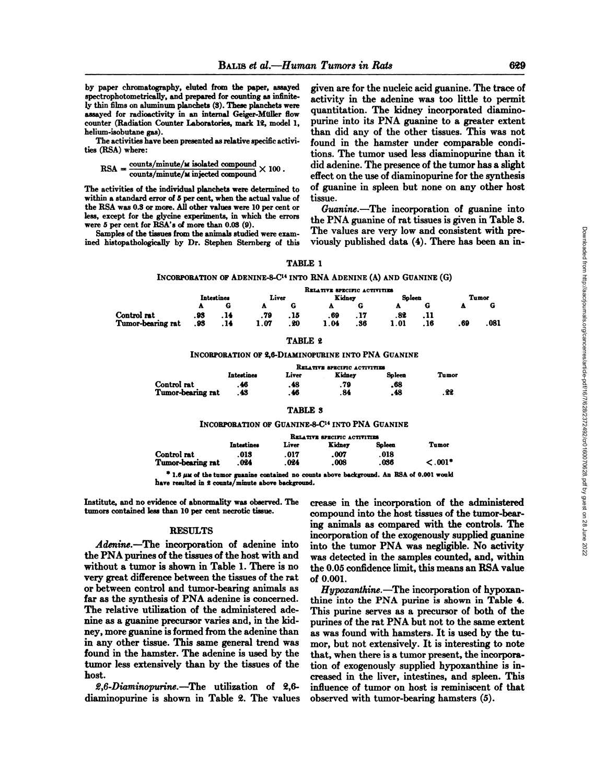**by paper chromatography, eluted from the paper, assayed** spectrophotometrically, and prepared for counting as infinite ly thin films on aluminum planchets (3). These planchets were assayed for radioactivity in an internal Geiger-Muller flow counter (Radiation Counter Laboratories, mark 12, model 1, helium-isobutane gas).

**The activities have been presented as relativespecific activi** ties (RSA) where:

$$
RSA = \frac{\text{counts/minute/} \text{w isolated compound}}{\text{counts/minute/} \text{w injected compound}} \times 100.
$$

**The activities of the individual planchets were determined to** within a standard error of 5 per cent, when the actual value of **the RSA was 0.3 or more. All other values were 10 per cent or** less, except for the glycine experiments, in which the errors were 5 per cent for RSA's of more than 0.03 (9).

Samples of the tissues from the animals studied were exam med histopathologically by Dr. Stephen Sternberg of this

given are for the nucleic acid guanine. The trace of activity in the adenine was too little to permit quantitation. The kidney incorporated diamino purine into its PNA guanine to a greater extent than did any of the other tissues. This was not found in the hamster under comparable condi tions. The tumor used less diaminopurine than it did adenine. The presence of the tumor has a slight effect on the use of diaminopurine for the synthesis of guanine in spleen but none on any other host tissue.

*Guanine.—The incorporation of guanine into* the PNA guanine of rat tissues is given in Table 3. The values are very low and consistent with pre viously published data (4). There has been an in

## TABLE 1

## INCORPORATION OF ADENINE-8-C<sup>14</sup> INTO RNA ADENINE (A) AND GUANINE (G)

|                   |            |      |       |      | RELATIVE SPECIFIC ACTIVITIES |     |        |      |       |       |
|-------------------|------------|------|-------|------|------------------------------|-----|--------|------|-------|-------|
|                   | Intestines |      | Liver |      | Kidney                       |     | Spleen |      | Tumor |       |
|                   |            |      |       |      |                              | G   |        |      |       |       |
| Control rat       | . 93       | . 14 | .79   | . 15 | . 69                         |     | .82    | .11  |       |       |
| Tumor-bearing rat | . 93       | . 14 | 1.07  | . 20 | 1.04                         | .36 | 1.01   | . 16 | . 69  | . 081 |

#### TABLE 2

#### INCORPORATION OF 2,6-DIAMINOPURINE INTO PNA GUANINE

|                   | RELATIVE SPECIFIC ACTIVITIES |       |        |        |       |  |  |  |  |
|-------------------|------------------------------|-------|--------|--------|-------|--|--|--|--|
|                   | Intestines                   | Liver | Kidney | Spleen | Tumor |  |  |  |  |
| Control rat       | . 46                         | .48   | .79    | . 68   |       |  |  |  |  |
| Tumor-bearing rat | . 43                         | . 46  | . 84   | . 48   | . 22  |  |  |  |  |

## TABLE 3

## INCORPORATION OF GUANINE-8-C<sup>14</sup> INTO PNA GUANINE

|                                                                                                                                                                                                                                | RELATIVE SPECIFIC ACTIVITIES |       |        |        |               |  |  |  |  |
|--------------------------------------------------------------------------------------------------------------------------------------------------------------------------------------------------------------------------------|------------------------------|-------|--------|--------|---------------|--|--|--|--|
|                                                                                                                                                                                                                                | Intestines                   | Liver | Kidney | Soleen | Tumor         |  |  |  |  |
| Control rat                                                                                                                                                                                                                    | .013                         | .017  | .007   | .018   |               |  |  |  |  |
| Tumor-bearing rat                                                                                                                                                                                                              | .024                         | .024  | .008   | .036   | $\leq .001$ * |  |  |  |  |
| Readers and a contract of the state of the final state of the most state of the state of the state of the state of the state of the state of the state of the state of the state of the state of the state of the state of the |                              |       |        |        |               |  |  |  |  |

1.6  $\mu$ M of the tumor guanine contained no counts above background. An RSA of 0.001 would **have resulted in S counts/minute above background.**

Institute, and no evidence of abnormality was observed.The tumors contained less than 10 per cent necrotic tissue.

## **RESULTS**

*Adenine.—The incorporation of adenine into* the PNA purines of the tissues of the host with and without a tumor is shown in Table 1. There is no very great difference between the tissues of the rat or between control and tumor-bearing animals as far as the synthesis of PNA adenine is concerned. The relative utilization of the administered ade nine as a guanine precursor varies and, in the kid ney, more guanine is formed from the adenine than in any other tissue. This same general trend was found in the hamster. The adenine is used by the tumor less extensively than by the tissues of the host.

*@2,6-Diaminopurine.—The utilization of 2,6* diaminopurine is shown in Table 2. The values crease in the incorporation of the administered compound into the host tissues of the tumor-bear ing animals as compared with the controls. The incorporation of the exogenously supplied guanine into the tumor PNA was negligible. No activity was detected in the samples counted, and, within the 0.05 confidence limit, this means an RSA value of 0.001.

*Hypoxanthine.—The incorporation of hypoxan* thine into the PNA purine is shown in Table 4. This purine serves as a precursor of both of the purines of the rat PNA but not to the same extent as was found with hamsters. It is used by the tu mor, but not extensively. It is interesting to note that, when there is a tumor present, the incorpora tion of exogenously supplied hypoxanthine is in creased in the liver, intestines, and spleen. This influence of tumor on host is reminiscent of that observed with tumor-bearing hamsters (5).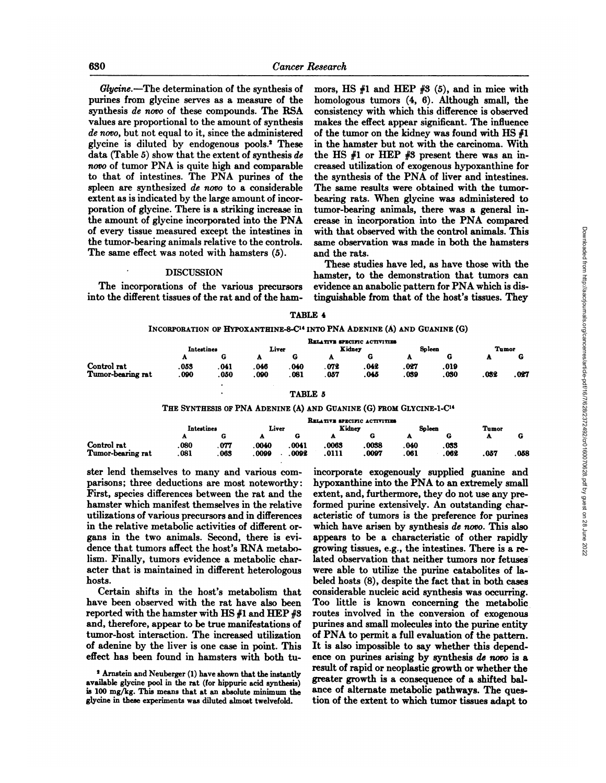*Glycine.—Thedetermination of the synthesis of* purines from glycine serves as a measure of the **synthesis de novo of these compounds. The RSA** values are proportional to the amount of synthesis *de novo, but not equal to it, since the administered* **glycine is diluted by endogenous pools.2 These** data (Table 5) show that the extent of synthesis de *novo of tumor PNA is quite high and comparable* to that of intestines. The PNA purines of the spleen are synthesized de novo to a considerable extent as is indicated by the large amount of incor poration of glycine. There is a striking increase in the amount of glycine incorporated into the PNA of every tissue measured except the intestines in the tumor-bearing animals relative to the controls. The same effect was noted with hamsters (5).

## . DISCUSSION

The incorporations of the various precursors into the different tissues of the rat and of the ham

mors, HS  $#1$  and HEP  $#3$  (5), and in mice with homologous tumors (4, 6). Although small, the consistency with which this difference is observed makes the effect appear significant. The influence of the tumor on the kidney was found with HS #1 in the hamster but not with the carcinoma. With the HS  $#1$  or HEP  $#3$  present there was an increased utilization of exogenous hypoxanthine for the synthesis of the PNA of liver and intestines. The same results were obtained with the tumor bearing rats. When glycine was administered to tumor-bearing animals, there was a general in crease in incorporation into the PNA compared with that observed with the control animals. This same observation was made in both the hamsters and the rats.

These studies have led, as have those with the hamster, to the demonstration that tumors can evidence an anabolic pattern for PNA which is dis tinguishable from that of the host's tissues. They

### TABLE 4

## **INCORPORATIONOFHYPOXANTHINE-8-C14INTOPNA ADENINE(A) AND GUANINE(G)**

|                   |            |       |       |       |        | RELATIVE SPECIFIC ACTIVITIES |        |      |       |      |
|-------------------|------------|-------|-------|-------|--------|------------------------------|--------|------|-------|------|
|                   | Intestines |       | Liver |       | Kidney |                              | Spleen |      | Tumor |      |
|                   |            |       | ×     |       |        |                              |        |      |       |      |
| Control rat       | 053        | . 041 | .046  | . 040 | .072   | . 042                        | .027   | .019 |       |      |
| Tumor-bearing rat | .090       | .050  | . 090 | 081   | .057   | .045                         | .039   | .030 | .032  | .027 |
|                   |            |       |       |       |        |                              |        |      |       |      |

## TABLE 5

## **THE SYNTHESISOFPNA ADENINE(A) AND GUANINE(G) FROMGLYcINE-1-C14**

|                   | RELATIVE SPECIFIC ACTIVITIES |      |                 |       |        |       |              |       |      |       |
|-------------------|------------------------------|------|-----------------|-------|--------|-------|--------------|-------|------|-------|
|                   | Intestines                   |      | Liver<br>Kidney |       | Soleen |       |              | Tumor |      |       |
|                   | $\mathbf{r}$                 | G    | 43.             |       |        | G     | $\mathbf{a}$ | G     | ≖    |       |
| Control rat       | .080                         | .077 | .0040           | .0041 | .0063  | .0038 | . 040        | . 033 |      |       |
| Tumor-bearing rat | . 081                        | .063 | .0099           | .0092 | .0111  | .0097 | . 061        | .062  | .057 | . 058 |

ster lend themselves to many and various com **parisons ; three deductions are most noteworthy:** First, species differences between the rat and the hamster which manifest themselves in the relative utilizations of various precursors and in differences **in the relative metabolic activities of different or** gans in the two animals. Second, there is evi dence that tumors affect the host's RNA metabo lism. Finally, tumors evidence a metabolic char acter that is maintained in different heterologous hosts.

Certain shifts in the host's metabolism that have been observed with the rat have also been reported with the hamster with HS  $#1$  and HEP  $#3$ and, therefore, appear to be true manifestations of **tumor-host interaction. The increased utilization** of adenine by the liver is one case in point. This **effect has been found in hamsters with both tu**

incorporate exogenously supplied guanine and hypoxanthine into the PNA to an extremely small extent, and, furthermore, they do not use any pre formed purine extensively. An outstanding characteristic of tumors is the preference for purines which have arisen by synthesis de novo. This also **appears to be a characteristic of other rapidly** growing tissues, e.g., the intestines. There is a re lated observation that neither tumors nor fetuses were able to utilize the purine catabolites of la beled hosts (8), despite the fact that in both cases considerable nucleic acid synthesis was occurring. **Too little is known concerning the metabolic** routes involved in the conversion of exogenous purines and small molecules into the purine entity **of PNA to permit a full evaluation of the pattern.** It is also impossible to say whether this depend ence on purines arising by synthesis de novo is a result of rapid or neoplastic growth or whether the greater growth is a consequence of a shifted bal **ance of alternate metabolic pathways. The ques** with that observed with the control animals. This case<br>of the control animals is more observation was made in both the hamsters<br>and the rats.<br>
These studies have led, as have those with the<br>
1 meast that the demonstration

<sup>&</sup>lt;sup>2</sup> Arnstein and Neuberger (1) have shown that the instantly available glycine pool in the rat (for hippuric acid synthesis) is 100 mg/kg. This means that at an absolute minimum the ance of alternate metabolic pathways. The ques-<br>glycine in these experiments was diluted almost twelvefold. tion of the extent to which tumor tissues adapt to glycine in these experiments was diluted almost twelvefold.